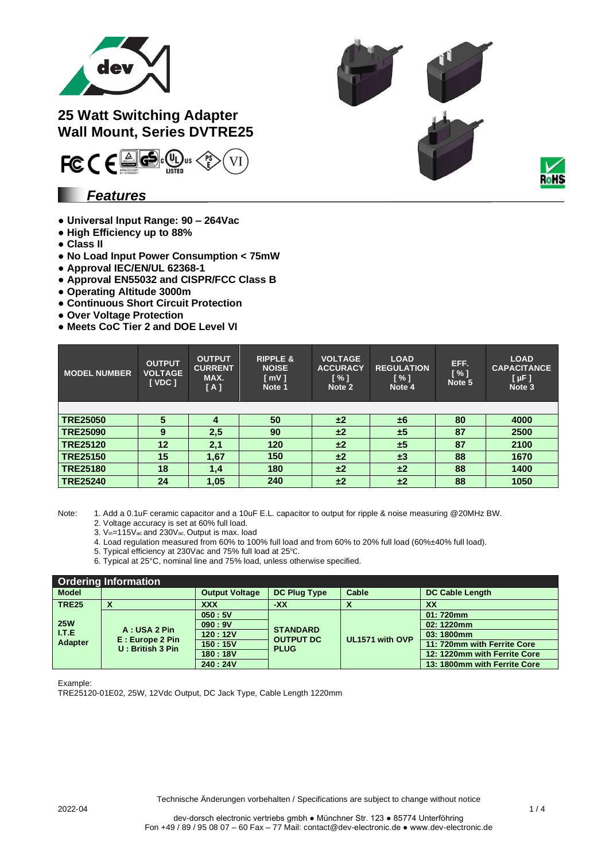

## **25 Watt Switching Adapter Wall Mount, Series DVTRE25**



## *Features*

- **Universal Input Range: 90 – 264Vac**
- **High Efficiency up to 88%**
- **Class II**
- **No Load Input Power Consumption < 75mW**
- **Approval IEC/EN/UL 62368-1**
- **Approval EN55032 and CISPR/FCC Class B**
- **Operating Altitude 3000m**
- **● Continuous Short Circuit Protection**
- **● Over Voltage Protection**
- **● Meets CoC Tier 2 and DOE Level VI**

| <b>MODEL NUMBER</b> | <b>OUTPUT</b><br><b>VOLTAGE</b><br>[VDC] | <b>OUTPUT</b><br><b>CURRENT</b><br>MAX.<br>[A] | <b>RIPPLE &amp;</b><br><b>NOISE</b><br>[ mV]<br>Note 1 | <b>VOLTAGE</b><br><b>ACCURACY</b><br>[%]<br>Note 2 | <b>LOAD</b><br><b>REGULATION</b><br>[%]<br>Note 4 | EFF.<br>[%]<br>Note 5 | <b>LOAD</b><br><b>CAPACITANCE</b><br>$[ \mu F ]$<br>Note 3 |
|---------------------|------------------------------------------|------------------------------------------------|--------------------------------------------------------|----------------------------------------------------|---------------------------------------------------|-----------------------|------------------------------------------------------------|
|                     |                                          |                                                |                                                        |                                                    |                                                   |                       |                                                            |
| <b>TRE25050</b>     | 5                                        | 4                                              | 50                                                     | ±2                                                 | ±6                                                | 80                    | 4000                                                       |
| <b>TRE25090</b>     | 9                                        | 2,5                                            | 90                                                     | ±2                                                 | ±5                                                | 87                    | 2500                                                       |
| <b>TRE25120</b>     | 12                                       | 2,1                                            | 120                                                    | ±2                                                 | ±5                                                | 87                    | 2100                                                       |
| <b>TRE25150</b>     | 15                                       | 1,67                                           | 150                                                    | ±2                                                 | $\pm 3$                                           | 88                    | 1670                                                       |
| <b>TRE25180</b>     | 18                                       | 1,4                                            | 180                                                    | ±2                                                 | $\pm 2$                                           | 88                    | 1400                                                       |
| <b>TRE25240</b>     | 24                                       | 1,05                                           | 240                                                    | ±2                                                 | ±2                                                | 88                    | 1050                                                       |

Note: 1. Add a 0.1uF ceramic capacitor and a 10uF E.L. capacitor to output for ripple & noise measuring @20MHz BW.

- 2. Voltage accuracy is set at 60% full load.
- 3. Vin=115Vac and 230Vac, Output is max. load
- 4. Load regulation measured from 60% to 100% full load and from 60% to 20% full load (60%±40% full load).
- 5. Typical efficiency at 230Vac and 75% full load at 25℃.
- 6. Typical at 25°C, nominal line and 75% load, unless otherwise specified.

| <b>Ordering Information</b>            |                                                     |                       |                                                    |                 |                              |  |  |
|----------------------------------------|-----------------------------------------------------|-----------------------|----------------------------------------------------|-----------------|------------------------------|--|--|
| <b>Model</b>                           |                                                     | <b>Output Voltage</b> | <b>DC Plug Type</b>                                | Cable           | <b>DC Cable Length</b>       |  |  |
| <b>TRE25</b>                           | х                                                   | <b>XXX</b>            | $-XX$                                              |                 | XX                           |  |  |
| <b>25W</b><br><b>I.T.E.</b><br>Adapter | A: USA 2 Pin<br>E: Europe 2 Pin<br>U: British 3 Pin | 050:5V                |                                                    | UL1571 with OVP | 01:720mm                     |  |  |
|                                        |                                                     | 090:9V                | <b>STANDARD</b><br><b>OUTPUT DC</b><br><b>PLUG</b> |                 | 02: 1220mm                   |  |  |
|                                        |                                                     | 120:12V               |                                                    |                 | 03:1800mm                    |  |  |
|                                        |                                                     | 150:15V               |                                                    |                 | 11: 720mm with Ferrite Core  |  |  |
|                                        |                                                     | 180:18V               |                                                    |                 | 12: 1220mm with Ferrite Core |  |  |
|                                        |                                                     | 240:24V               |                                                    |                 | 13: 1800mm with Ferrite Core |  |  |

Example:

TRE25120-01E02, 25W, 12Vdc Output, DC Jack Type, Cable Length 1220mm

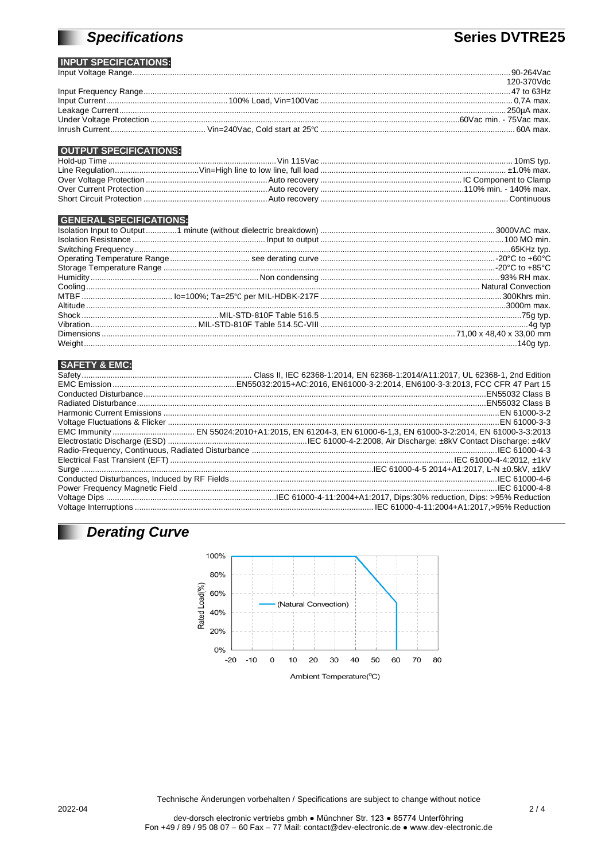# **Specifications**

# **Series DVTRE25**

#### **INPUT SPECIFICATIONS:**

|  | 120-370Vdc |
|--|------------|
|  |            |
|  |            |
|  |            |
|  |            |
|  |            |

#### **OUTPUT SPECIFICATIONS:**

#### **GENERAL SPECIFICATIONS:**

### **SAFETY & EMC:**

# **Derating Curve**



Technische Änderungen vorbehalten / Specifications are subject to change without notice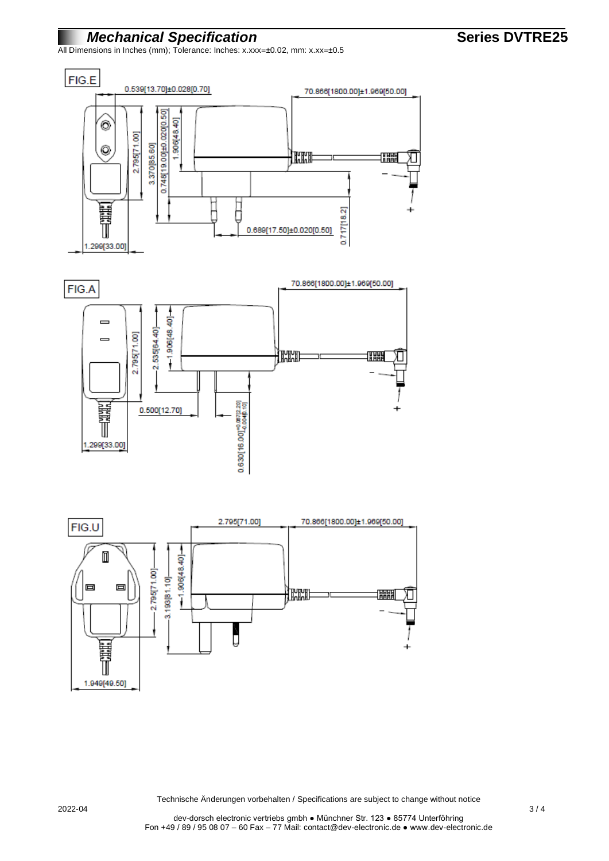## *Mechanical Specification* **Series DVTRE25 Series DVTRE25**

All Dimensions in Inches (mm); Tolerance: Inches: x.xxx=±0.02, mm: x.xx=±0.5







Technische Änderungen vorbehalten / Specifications are subject to change without notice